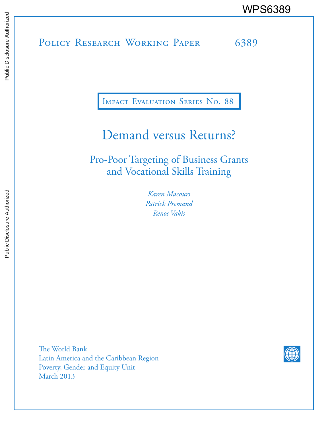# POLICY RESEARCH WORKING PAPER 6389 WPS6389

Impact Evaluation Series No. 88

# Demand versus Returns?

Pro-Poor Targeting of Business Grants and Vocational Skills Training

> *Karen Macours Patrick Premand Renos Vakis*

The World Bank Latin America and the Caribbean Region Poverty, Gender and Equity Unit March 2013

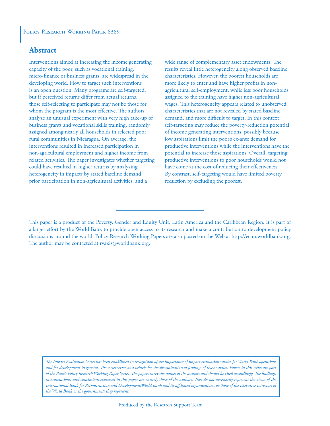#### POLICY RESEARCH WORKING PAPER 6389

### **Abstract**

Interventions aimed at increasing the income generating capacity of the poor, such as vocational training, micro-finance or business grants, are widespread in the developing world. How to target such interventions is an open question. Many programs are self-targeted, but if perceived returns differ from actual returns, those self-selecting to participate may not be those for whom the program is the most effective. The authors analyze an unusual experiment with very high take-up of business grants and vocational skills training, randomly assigned among nearly all households in selected poor rural communities in Nicaragua. On average, the interventions resulted in increased participation in non-agricultural employment and higher income from related activities. The paper investigates whether targeting could have resulted in higher returns by analyzing heterogeneity in impacts by stated baseline demand, prior participation in non-agricultural activities, and a

wide range of complementary asset endowments. The results reveal little heterogeneity along observed baseline characteristics. However, the poorest households are more likely to enter and have higher profits in nonagricultural self-employment, while less poor households assigned to the training have higher non-agricultural wages. This heterogeneity appears related to unobserved characteristics that are not revealed by stated baseline demand, and more difficult to target. In this context, self-targeting may reduce the poverty-reduction potential of income generating interventions, possibly because low aspirations limit the poor's ex-ante demand for productive interventions while the interventions have the potential to increase those aspirations. Overall, targeting productive interventions to poor households would not have come at the cost of reducing their effectiveness. By contrast, self-targeting would have limited poverty reduction by excluding the poorest.

*The Impact Evaluation Series has been established in recognition of the importance of impact evaluation studies for World Bank operations and for development in general. The series serves as a vehicle for the dissemination of findings of those studies. Papers in this series are part of the Bank's Policy Research Working Paper Series. The papers carry the names of the authors and should be cited accordingly. The findings, interpretations, and conclusions expressed in this paper are entirely those of the authors. They do not necessarily represent the views of the International Bank for Reconstruction and Development/World Bank and its affiliated organizations, or those of the Executive Directors of the World Bank or the governments they represent.*

This paper is a product of the Poverty, Gender and Equity Unit, Latin America and the Caribbean Region. It is part of a larger effort by the World Bank to provide open access to its research and make a contribution to development policy discussions around the world. Policy Research Working Papers are also posted on the Web at http://econ.worldbank.org. The author may be contacted at rvakis@worldbank.org.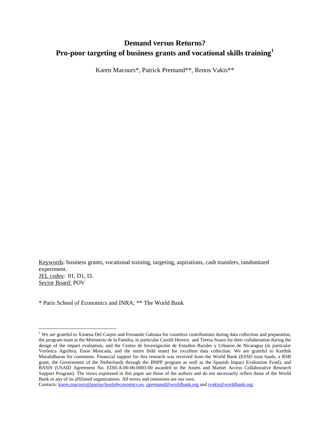## **Demand versus Returns? Pro-poor targeting of business grants and vocational skills training[1](#page-2-0)**

Karen Macours\*, Patrick Premand\*\*, Renos Vakis\*\*

Keywords: business grants, vocational training, targeting, aspirations, cash transfers, randomized experiment. JEL codes: 01, D1, I3. Sector Board: POV

\* Paris School of Economics and INRA; \*\* The World Bank

 $\overline{\phantom{a}}$ 

<span id="page-2-0"></span><sup>&</sup>lt;sup>1</sup> We are grateful to Ximena Del Carpio and Fernando Galeana for countless contributions during data collection and preparation, the program team at the Ministerio de la Familia, in particular Carold Herrera and Teresa Suazo for their collaboration during the design of the impact evaluation, and the Centro de Investigación de Estudios Rurales y Urbanos de Nicaragua (in particular Verónica Aguilera, Enoe Moncada, and the entire field team) for excellent data collection. We are grateful to Karthik Muralidharan for comments. Financial support for this research was received from the World Bank (ESSD trust funds, a RSB grant, the Government of the Netherlands through the BNPP program as well as the Spanish Impact Evaluation Fund), and BASIS (USAID Agreement No. EDH-A-00-06-0003-00 awarded to the Assets and Market Access Collaborative Research Support Program). The views expressed in this paper are those of the authors and do not necessarily reflect those of the World Bank or any of its affiliated organizations. All errors and omissions are our own.

Contacts[: karen.macours@parisschoolofeconomics.eu,](mailto:karen.macours@parisschoolofeconomics.eu) [ppremand@worldbank.org](mailto:ppremand@worldbank.org) and [rvakis@worldbank.org](mailto:rvakis@worldbank.org)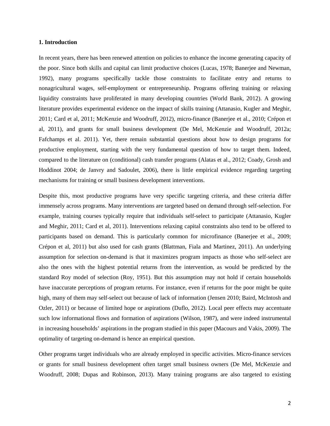#### **1. Introduction**

In recent years, there has been renewed attention on policies to enhance the income generating capacity of the poor. Since both skills and capital can limit productive choices (Lucas, 1978; Banerjee and Newman, 1992), many programs specifically tackle those constraints to facilitate entry and returns to nonagricultural wages, self-employment or entrepreneurship. Programs offering training or relaxing liquidity constraints have proliferated in many developing countries (World Bank, 2012). A growing literature provides experimental evidence on the impact of skills training (Attanasio, Kugler and Meghir, 2011; Card et al, 2011; McKenzie and Woodruff, 2012), micro-finance (Banerjee et al., 2010; Crépon et al, 2011), and grants for small business development (De Mel, McKenzie and Woodruff, 2012a; Fafchamps et al. 2011). Yet, there remain substantial questions about how to design programs for productive employment, starting with the very fundamental question of how to target them. Indeed, compared to the literature on (conditional) cash transfer programs (Alatas et al., 2012; Coady, Grosh and Hoddinot 2004; de Janvry and Sadoulet, 2006), there is little empirical evidence regarding targeting mechanisms for training or small business development interventions.

Despite this, most productive programs have very specific targeting criteria, and these criteria differ immensely across programs. Many interventions are targeted based on demand through self-selection. For example, training courses typically require that individuals self-select to participate (Attanasio, Kugler and Meghir, 2011; Card et al, 2011). Interventions relaxing capital constraints also tend to be offered to participants based on demand. This is particularly common for microfinance (Banerjee et al., 2009; Crépon et al, 2011) but also used for cash grants (Blattman, Fiala and Martinez, 2011). An underlying assumption for selection on-demand is that it maximizes program impacts as those who self-select are also the ones with the highest potential returns from the intervention, as would be predicted by the standard Roy model of selection (Roy, 1951). But this assumption may not hold if certain households have inaccurate perceptions of program returns. For instance, even if returns for the poor might be quite high, many of them may self-select out because of lack of information (Jensen 2010; Baird, McIntosh and Ozler, 2011) or because of limited hope or aspirations (Duflo, 2012). Local peer effects may accentuate such low informational flows and formation of aspirations (Wilson, 1987), and were indeed instrumental in increasing households' aspirations in the program studied in this paper (Macours and Vakis, 2009). The optimality of targeting on-demand is hence an empirical question.

Other programs target individuals who are already employed in specific activities. Micro-finance services or grants for small business development often target small business owners (De Mel, McKenzie and Woodruff, 2008; Dupas and Robinson, 2013). Many training programs are also targeted to existing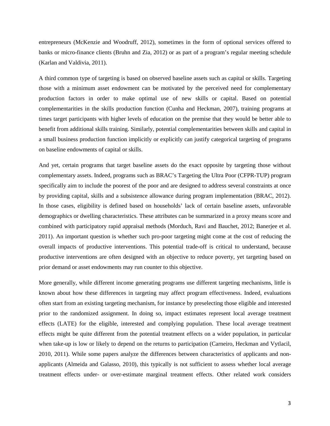entrepreneurs (McKenzie and Woodruff, 2012), sometimes in the form of optional services offered to banks or micro-finance clients (Bruhn and Zia, 2012) or as part of a program's regular meeting schedule (Karlan and Valdivia, 2011).

A third common type of targeting is based on observed baseline assets such as capital or skills. Targeting those with a minimum asset endowment can be motivated by the perceived need for complementary production factors in order to make optimal use of new skills or capital. Based on potential complementarities in the skills production function (Cunha and Heckman, 2007), training programs at times target participants with higher levels of education on the premise that they would be better able to benefit from additional skills training. Similarly, potential complementarities between skills and capital in a small business production function implicitly or explicitly can justify categorical targeting of programs on baseline endowments of capital or skills.

And yet, certain programs that target baseline assets do the exact opposite by targeting those without complementary assets. Indeed, programs such as BRAC's Targeting the Ultra Poor (CFPR-TUP) program specifically aim to include the poorest of the poor and are designed to address several constraints at once by providing capital, skills and a subsistence allowance during program implementation (BRAC, 2012). In those cases, eligibility is defined based on households' lack of certain baseline assets, unfavorable demographics or dwelling characteristics. These attributes can be summarized in a proxy means score and combined with participatory rapid appraisal methods (Morduch, Ravi and Bauchet, 2012; Banerjee et al. 2011). An important question is whether such pro-poor targeting might come at the cost of reducing the overall impacts of productive interventions. This potential trade-off is critical to understand, because productive interventions are often designed with an objective to reduce poverty, yet targeting based on prior demand or asset endowments may run counter to this objective.

More generally, while different income generating programs use different targeting mechanisms, little is known about how these differences in targeting may affect program effectiveness. Indeed, evaluations often start from an existing targeting mechanism, for instance by preselecting those eligible and interested prior to the randomized assignment. In doing so, impact estimates represent local average treatment effects (LATE) for the eligible, interested and complying population. These local average treatment effects might be quite different from the potential treatment effects on a wider population, in particular when take-up is low or likely to depend on the returns to participation (Carneiro, Heckman and Vytlacil, 2010, 2011). While some papers analyze the differences between characteristics of applicants and nonapplicants (Almeida and Galasso, 2010), this typically is not sufficient to assess whether local average treatment effects under- or over-estimate marginal treatment effects. Other related work considers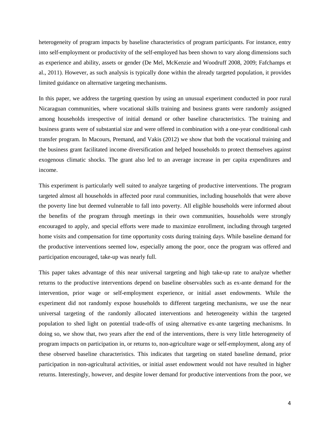heterogeneity of program impacts by baseline characteristics of program participants. For instance, entry into self-employment or productivity of the self-employed has been shown to vary along dimensions such as experience and ability, assets or gender (De Mel, McKenzie and Woodruff 2008, 2009; Fafchamps et al., 2011). However, as such analysis is typically done within the already targeted population, it provides limited guidance on alternative targeting mechanisms.

In this paper, we address the targeting question by using an unusual experiment conducted in poor rural Nicaraguan communities, where vocational skills training and business grants were randomly assigned among households irrespective of initial demand or other baseline characteristics. The training and business grants were of substantial size and were offered in combination with a one-year conditional cash transfer program. In Macours, Premand, and Vakis (2012) we show that both the vocational training and the business grant facilitated income diversification and helped households to protect themselves against exogenous climatic shocks. The grant also led to an average increase in per capita expenditures and income.

This experiment is particularly well suited to analyze targeting of productive interventions. The program targeted almost all households in affected poor rural communities, including households that were above the poverty line but deemed vulnerable to fall into poverty. All eligible households were informed about the benefits of the program through meetings in their own communities, households were strongly encouraged to apply, and special efforts were made to maximize enrollment, including through targeted home visits and compensation for time opportunity costs during training days. While baseline demand for the productive interventions seemed low, especially among the poor, once the program was offered and participation encouraged, take-up was nearly full.

This paper takes advantage of this near universal targeting and high take-up rate to analyze whether returns to the productive interventions depend on baseline observables such as ex-ante demand for the intervention, prior wage or self-employment experience, or initial asset endowments. While the experiment did not randomly expose households to different targeting mechanisms, we use the near universal targeting of the randomly allocated interventions and heterogeneity within the targeted population to shed light on potential trade-offs of using alternative ex-ante targeting mechanisms. In doing so, we show that, two years after the end of the interventions, there is very little heterogeneity of program impacts on participation in, or returns to, non-agriculture wage or self-employment, along any of these observed baseline characteristics. This indicates that targeting on stated baseline demand, prior participation in non-agricultural activities, or initial asset endowment would not have resulted in higher returns. Interestingly, however, and despite lower demand for productive interventions from the poor, we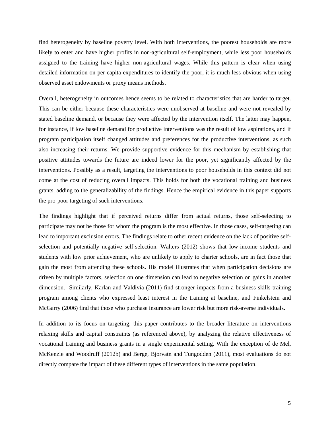find heterogeneity by baseline poverty level. With both interventions, the poorest households are more likely to enter and have higher profits in non-agricultural self-employment, while less poor households assigned to the training have higher non-agricultural wages. While this pattern is clear when using detailed information on per capita expenditures to identify the poor, it is much less obvious when using observed asset endowments or proxy means methods.

Overall, heterogeneity in outcomes hence seems to be related to characteristics that are harder to target. This can be either because these characteristics were unobserved at baseline and were not revealed by stated baseline demand, or because they were affected by the intervention itself. The latter may happen, for instance, if low baseline demand for productive interventions was the result of low aspirations, and if program participation itself changed attitudes and preferences for the productive interventions, as such also increasing their returns. We provide supportive evidence for this mechanism by establishing that positive attitudes towards the future are indeed lower for the poor, yet significantly affected by the interventions. Possibly as a result, targeting the interventions to poor households in this context did not come at the cost of reducing overall impacts. This holds for both the vocational training and business grants, adding to the generalizability of the findings. Hence the empirical evidence in this paper supports the pro-poor targeting of such interventions.

The findings highlight that if perceived returns differ from actual returns, those self-selecting to participate may not be those for whom the program is the most effective. In those cases, self-targeting can lead to important exclusion errors. The findings relate to other recent evidence on the lack of positive selfselection and potentially negative self-selection. Walters (2012) shows that low-income students and students with low prior achievement, who are unlikely to apply to charter schools, are in fact those that gain the most from attending these schools. His model illustrates that when participation decisions are driven by multiple factors, selection on one dimension can lead to negative selection on gains in another dimension. Similarly, Karlan and Valdivia (2011) find stronger impacts from a business skills training program among clients who expressed least interest in the training at baseline, and Finkelstein and McGarry (2006) find that those who purchase insurance are lower risk but more risk-averse individuals.

In addition to its focus on targeting, this paper contributes to the broader literature on interventions relaxing skills and capital constraints (as referenced above), by analyzing the relative effectiveness of vocational training and business grants in a single experimental setting. With the exception of de Mel, McKenzie and Woodruff (2012b) and Berge, Bjorvatn and Tungodden (2011), most evaluations do not directly compare the impact of these different types of interventions in the same population.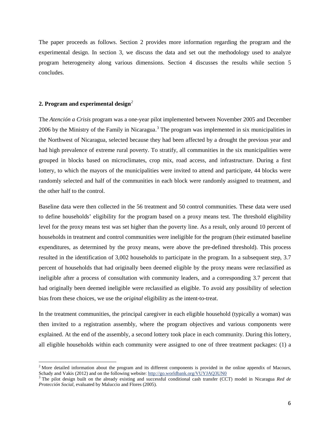The paper proceeds as follows. Section 2 provides more information regarding the program and the experimental design. In section 3, we discuss the data and set out the methodology used to analyze program heterogeneity along various dimensions. Section 4 discusses the results while section 5 concludes.

#### **2. Program and experimental design***[2](#page-7-0)*

l

The *Atención a Crisis* program was a one-year pilot implemented between November 2005 and December 2006 by the Ministry of the Family in Nicaragua.<sup>[3](#page-7-1)</sup> The program was implemented in six municipalities in the Northwest of Nicaragua, selected because they had been affected by a drought the previous year and had high prevalence of extreme rural poverty. To stratify, all communities in the six municipalities were grouped in blocks based on microclimates, crop mix, road access, and infrastructure. During a first lottery, to which the mayors of the municipalities were invited to attend and participate, 44 blocks were randomly selected and half of the communities in each block were randomly assigned to treatment, and the other half to the control.

Baseline data were then collected in the 56 treatment and 50 control communities. These data were used to define households' eligibility for the program based on a proxy means test. The threshold eligibility level for the proxy means test was set higher than the poverty line. As a result, only around 10 percent of households in treatment and control communities were ineligible for the program (their estimated baseline expenditures, as determined by the proxy means, were above the pre-defined threshold). This process resulted in the identification of 3,002 households to participate in the program. In a subsequent step, 3.7 percent of households that had originally been deemed eligible by the proxy means were reclassified as ineligible after a process of consultation with community leaders, and a corresponding 3.7 percent that had originally been deemed ineligible were reclassified as eligible. To avoid any possibility of selection bias from these choices, we use the *original* eligibility as the intent-to-treat.

In the treatment communities, the principal caregiver in each eligible household (typically a woman) was then invited to a registration assembly, where the program objectives and various components were explained. At the end of the assembly, a second lottery took place in each community. During this lottery, all eligible households within each community were assigned to one of three treatment packages: (1) a

<span id="page-7-0"></span><sup>&</sup>lt;sup>2</sup> More detailed information about the program and its different components is provided in the online appendix of Macours, Schady and Vakis (2012) and on the following website: http://go.worldbank.org/VUYJAQ3UN0

<span id="page-7-1"></span><sup>&</sup>lt;sup>3</sup> The pilot design built on the already existing and successful conditional cash transfer (CCT) model in Nicaragua *Red de Protección Social,* evaluated by Maluccio and Flores (2005).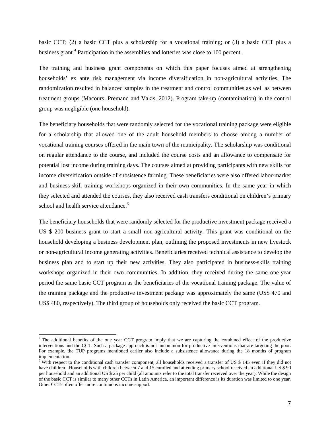basic CCT; (2) a basic CCT plus a scholarship for a vocational training; or (3) a basic CCT plus a business grant. [4](#page-8-0) Participation in the assemblies and lotteries was close to 100 percent.

The training and business grant components on which this paper focuses aimed at strengthening households' ex ante risk management via income diversification in non-agricultural activities. The randomization resulted in balanced samples in the treatment and control communities as well as between treatment groups (Macours, Premand and Vakis, 2012). Program take-up (contamination) in the control group was negligible (one household).

The beneficiary households that were randomly selected for the vocational training package were eligible for a scholarship that allowed one of the adult household members to choose among a number of vocational training courses offered in the main town of the municipality. The scholarship was conditional on regular attendance to the course, and included the course costs and an allowance to compensate for potential lost income during training days. The courses aimed at providing participants with new skills for income diversification outside of subsistence farming. These beneficiaries were also offered labor-market and business-skill training workshops organized in their own communities. In the same year in which they selected and attended the courses, they also received cash transfers conditional on children's primary school and health service attendance.<sup>[5](#page-8-1)</sup>

The beneficiary households that were randomly selected for the productive investment package received a US \$ 200 business grant to start a small non-agricultural activity. This grant was conditional on the household developing a business development plan, outlining the proposed investments in new livestock or non-agricultural income generating activities. Beneficiaries received technical assistance to develop the business plan and to start up their new activities. They also participated in business-skills training workshops organized in their own communities. In addition, they received during the same one-year period the same basic CCT program as the beneficiaries of the vocational training package. The value of the training package and the productive investment package was approximately the same (US\$ 470 and US\$ 480, respectively). The third group of households only received the basic CCT program.

 $\overline{\phantom{a}}$ 

<span id="page-8-0"></span><sup>&</sup>lt;sup>4</sup> The additional benefits of the one year CCT program imply that we are capturing the combined effect of the productive interventions and the CCT. Such a package approach is not uncommon for productive interventions that are targeting the poor. For example, the TUP programs mentioned earlier also include a subsistence allowance during the 18 months of program implementation.

<span id="page-8-1"></span><sup>&</sup>lt;sup>5</sup> With respect to the conditional cash transfer component, all households received a transfer of US \$ 145 even if they did not have children. Households with children between 7 and 15 enrolled and attending primary school received an additional US \$ 90 per household and an additional US \$ 25 per child (all amounts refer to the total transfer received over the year). While the design of the basic CCT is similar to many other CCTs in Latin America, an important difference is its duration was limited to one year. Other CCTs often offer more continuous income support.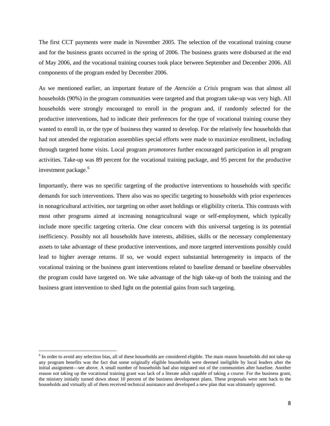The first CCT payments were made in November 2005. The selection of the vocational training course and for the business grants occurred in the spring of 2006. The business grants were disbursed at the end of May 2006, and the vocational training courses took place between September and December 2006. All components of the program ended by December 2006.

As we mentioned earlier, an important feature of the *Atención a Crisis* program was that almost all households (90%) in the program communities were targeted and that program take-up was very high. All households were strongly encouraged to enroll in the program and, if randomly selected for the productive interventions, had to indicate their preferences for the type of vocational training course they wanted to enroll in, or the type of business they wanted to develop. For the relatively few households that had not attended the registration assemblies special efforts were made to maximize enrollment, including through targeted home visits. Local program *promotores* further encouraged participation in all program activities. Take-up was 89 percent for the vocational training package, and 95 percent for the productive investment package.<sup>[6](#page-9-0)</sup>

Importantly, there was no specific targeting of the productive interventions to households with specific demands for such interventions. There also was no specific targeting to households with prior experiences in nonagricultural activities, nor targeting on other asset holdings or eligibility criteria. This contrasts with most other programs aimed at increasing nonagricultural wage or self-employment, which typically include more specific targeting criteria. One clear concern with this universal targeting is its potential inefficiency. Possibly not all households have interests, abilities, skills or the necessary complementary assets to take advantage of these productive interventions, and more targeted interventions possibly could lead to higher average returns. If so, we would expect substantial heterogeneity in impacts of the vocational training or the business grant interventions related to baseline demand or baseline observables the program could have targeted on. We take advantage of the high take-up of both the training and the business grant intervention to shed light on the potential gains from such targeting.

l

<span id="page-9-0"></span> $6$  In order to avoid any selection bias, all of these households are considered eligible. The main reason households did not take-up any program benefits was the fact that some originally eligible households were deemed ineligible by local leaders after the initial assignment—see above. A small number of households had also migrated out of the communities after baseline. Another reason not taking up the vocational training grant was lack of a literate adult capable of taking a course. For the business grant, the ministry initially turned down about 10 percent of the business development plans. These proposals were sent back to the households and virtually all of them received technical assistance and developed a new plan that was ultimately approved.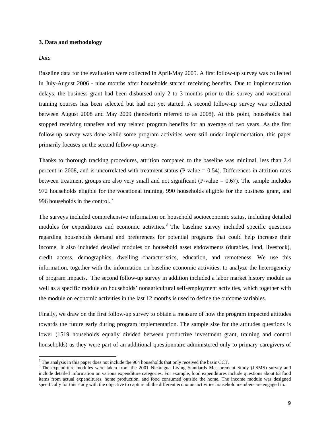#### **3. Data and methodology**

#### *Data*

 $\overline{\phantom{a}}$ 

Baseline data for the evaluation were collected in April-May 2005. A first follow-up survey was collected in July-August 2006 - nine months after households started receiving benefits. Due to implementation delays, the business grant had been disbursed only 2 to 3 months prior to this survey and vocational training courses has been selected but had not yet started. A second follow-up survey was collected between August 2008 and May 2009 (henceforth referred to as 2008). At this point, households had stopped receiving transfers and any related program benefits for an average of two years. As the first follow-up survey was done while some program activities were still under implementation, this paper primarily focuses on the second follow-up survey.

Thanks to thorough tracking procedures, attrition compared to the baseline was minimal, less than 2.4 percent in 2008, and is uncorrelated with treatment status (P-value  $= 0.54$ ). Differences in attrition rates between treatment groups are also very small and not significant (P-value  $= 0.67$ ). The sample includes 972 households eligible for the vocational training, 990 households eligible for the business grant, and 996 households in the control.<sup>[7](#page-10-0)</sup>

The surveys included comprehensive information on household socioeconomic status, including detailed modules for expenditures and economic activities.<sup>[8](#page-10-1)</sup> The baseline survey included specific questions regarding households demand and preferences for potential programs that could help increase their income. It also included detailed modules on household asset endowments (durables, land, livestock), credit access, demographics, dwelling characteristics, education, and remoteness. We use this information, together with the information on baseline economic activities, to analyze the heterogeneity of program impacts. The second follow-up survey in addition included a labor market history module as well as a specific module on households' nonagricultural self-employment activities, which together with the module on economic activities in the last 12 months is used to define the outcome variables.

Finally, we draw on the first follow-up survey to obtain a measure of how the program impacted attitudes towards the future early during program implementation. The sample size for the attitudes questions is lower (1519 households equally divided between productive investment grant, training and control households) as they were part of an additional questionnaire administered only to primary caregivers of

<span id="page-10-1"></span><span id="page-10-0"></span>

<sup>&</sup>lt;sup>7</sup> The analysis in this paper does not include the 964 households that only received the basic CCT.<br><sup>8</sup> The expenditure modules were taken from the 2001 Nicaragua Living Standards Measurement Study (LSMS) survey and include detailed information on various expenditure categories. For example, food expenditures include questions about 63 food items from actual expenditures, home production, and food consumed outside the home. The income module was designed specifically for this study with the objective to capture all the different economic activities household members are engaged in.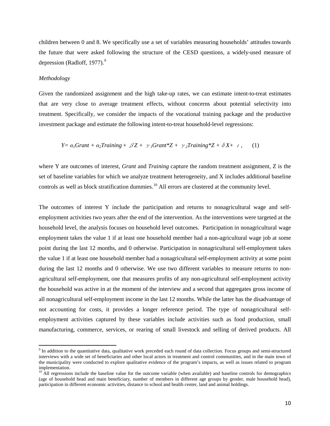children between 0 and 8. We specifically use a set of variables measuring households' attitudes towards the future that were asked following the structure of the CESD questions, a widely-used measure of depression (Radloff, 1[9](#page-11-0)77). $9$ 

#### *Methodology*

 $\overline{\phantom{a}}$ 

Given the randomized assignment and the high take-up rates, we can estimate intent-to-treat estimates that are very close to average treatment effects, without concerns about potential selectivity into treatment. Specifically, we consider the impacts of the vocational training package and the productive investment package and estimate the following intent-to-treat household-level regressions:

$$
Y = \alpha_1 Grant + \alpha_2 Training + \beta Z + \gamma_1 Grant^*Z + \gamma_2 Training^*Z + \delta X + \varepsilon, \quad (1)
$$

where Y are outcomes of interest, *Grant* and *Training* capture the random treatment assignment, Z is the set of baseline variables for which we analyze treatment heterogeneity, and X includes additional baseline controls as well as block stratification dummies.<sup>[10](#page-11-1)</sup> All errors are clustered at the community level.

The outcomes of interest Y include the participation and returns to nonagricultural wage and selfemployment activities two years after the end of the intervention. As the interventions were targeted at the household level, the analysis focuses on household level outcomes. Participation in nonagricultural wage employment takes the value 1 if at least one household member had a non-agricultural wage job at some point during the last 12 months, and 0 otherwise. Participation in nonagricultural self-employment takes the value 1 if at least one household member had a nonagricultural self-employment activity at some point during the last 12 months and 0 otherwise. We use two different variables to measure returns to nonagricultural self-employment, one that measures profits of any non-agricultural self-employment activity the household was active in at the moment of the interview and a second that aggregates gross income of all nonagricultural self-employment income in the last 12 months. While the latter has the disadvantage of not accounting for costs, it provides a longer reference period. The type of nonagricultural selfemployment activities captured by these variables include activities such as food production, small manufacturing, commerce, services, or rearing of small livestock and selling of derived products. All

<span id="page-11-0"></span><sup>9</sup> In addition to the quantitative data, qualitative work preceded each round of data collection. Focus groups and semi-structured interviews with a wide set of beneficiaries and other local actors in treatment and control communities, and in the main town of the municipality were conducted to explore qualitative evidence of the program's impacts, as well as issues related to program

<span id="page-11-1"></span><sup>&</sup>lt;sup>10</sup> All regressions include the baseline value for the outcome variable (when available) and baseline controls for demographics (age of household head and main beneficiary, number of members in different age groups by gender, male household head), participation in different economic activities, distance to school and health center, land and animal holdings.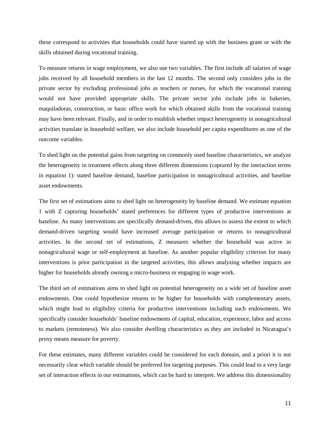these correspond to activities that households could have started up with the business grant or with the skills obtained during vocational training.

To measure returns in wage employment, we also use two variables. The first include all salaries of wage jobs received by all household members in the last 12 months. The second only considers jobs in the private sector by excluding professional jobs as teachers or nurses, for which the vocational training would not have provided appropriate skills. The private sector jobs include jobs in bakeries, maquiladoras, construction, or basic office work for which obtained skills from the vocational training may have been relevant. Finally, and in order to establish whether impact heterogeneity in nonagricultural activities translate in household welfare, we also include household per capita expenditures as one of the outcome variables.

To shed light on the potential gains from targeting on commonly used baseline characteristics, we analyze the heterogeneity in treatment effects along three different dimensions (captured by the interaction terms in equation 1): stated baseline demand, baseline participation in nonagricultural activities, and baseline asset endowments.

The first set of estimations aims to shed light on heterogeneity by baseline demand. We estimate equation 1 with Z capturing households' stated preferences for different types of productive interventions at baseline. As many interventions are specifically demand-driven, this allows to assess the extent to which demand-driven targeting would have increased average participation or returns to nonagricultural activities. In the second set of estimations, Z measures whether the household was active in nonagricultural wage or self-employment at baseline. As another popular eligibility criterion for many interventions is prior participation in the targeted activities, this allows analyzing whether impacts are higher for households already owning a micro-business or engaging in wage work.

The third set of estimations aims to shed light on potential heterogeneity on a wide set of baseline asset endowments. One could hypothesize returns to be higher for households with complementary assets, which might lead to eligibility criteria for productive interventions including such endowments. We specifically consider households' baseline endowments of capital, education, experience, labor and access to markets (remoteness). We also consider dwelling characteristics as they are included in Nicaragua's proxy means measure for poverty.

For these estimates, many different variables could be considered for each domain, and a priori it is not necessarily clear which variable should be preferred for targeting purposes. This could lead to a very large set of interaction effects in our estimations, which can be hard to interpret. We address this dimensionality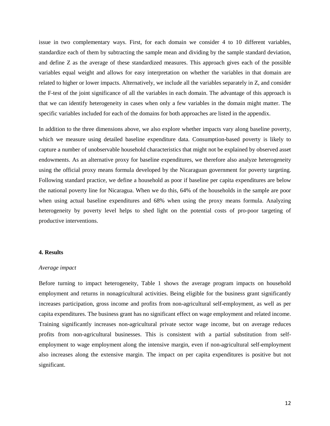issue in two complementary ways. First, for each domain we consider 4 to 10 different variables, standardize each of them by subtracting the sample mean and dividing by the sample standard deviation, and define Z as the average of these standardized measures. This approach gives each of the possible variables equal weight and allows for easy interpretation on whether the variables in that domain are related to higher or lower impacts. Alternatively, we include all the variables separately in Z, and consider the F-test of the joint significance of all the variables in each domain. The advantage of this approach is that we can identify heterogeneity in cases when only a few variables in the domain might matter. The specific variables included for each of the domains for both approaches are listed in the appendix.

In addition to the three dimensions above, we also explore whether impacts vary along baseline poverty, which we measure using detailed baseline expenditure data. Consumption-based poverty is likely to capture a number of unobservable household characteristics that might not be explained by observed asset endowments. As an alternative proxy for baseline expenditures, we therefore also analyze heterogeneity using the official proxy means formula developed by the Nicaraguan government for poverty targeting. Following standard practice, we define a household as poor if baseline per capita expenditures are below the national poverty line for Nicaragua. When we do this, 64% of the households in the sample are poor when using actual baseline expenditures and 68% when using the proxy means formula. Analyzing heterogeneity by poverty level helps to shed light on the potential costs of pro-poor targeting of productive interventions.

#### **4. Results**

#### *Average impact*

Before turning to impact heterogeneity, Table 1 shows the average program impacts on household employment and returns in nonagricultural activities. Being eligible for the business grant significantly increases participation, gross income and profits from non-agricultural self-employment, as well as per capita expenditures. The business grant has no significant effect on wage employment and related income. Training significantly increases non-agricultural private sector wage income, but on average reduces profits from non-agricultural businesses. This is consistent with a partial substitution from selfemployment to wage employment along the intensive margin, even if non-agricultural self-employment also increases along the extensive margin. The impact on per capita expenditures is positive but not significant.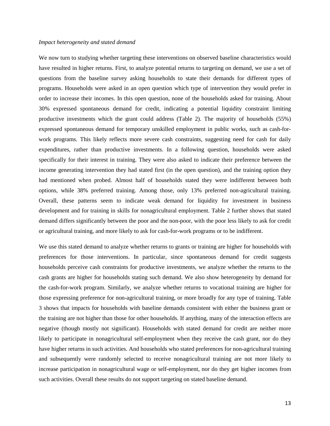#### *Impact heterogeneity and stated demand*

We now turn to studying whether targeting these interventions on observed baseline characteristics would have resulted in higher returns. First, to analyze potential returns to targeting on demand, we use a set of questions from the baseline survey asking households to state their demands for different types of programs. Households were asked in an open question which type of intervention they would prefer in order to increase their incomes. In this open question, none of the households asked for training. About 30% expressed spontaneous demand for credit, indicating a potential liquidity constraint limiting productive investments which the grant could address (Table 2). The majority of households (55%) expressed spontaneous demand for temporary unskilled employment in public works, such as cash-forwork programs. This likely reflects more severe cash constraints, suggesting need for cash for daily expenditures, rather than productive investments. In a following question, households were asked specifically for their interest in training. They were also asked to indicate their preference between the income generating intervention they had stated first (in the open question), and the training option they had mentioned when probed. Almost half of households stated they were indifferent between both options, while 38% preferred training. Among those, only 13% preferred non-agricultural training. Overall, these patterns seem to indicate weak demand for liquidity for investment in business development and for training in skills for nonagricultural employment. Table 2 further shows that stated demand differs significantly between the poor and the non-poor, with the poor less likely to ask for credit or agricultural training, and more likely to ask for cash-for-work programs or to be indifferent.

We use this stated demand to analyze whether returns to grants or training are higher for households with preferences for those interventions. In particular, since spontaneous demand for credit suggests households perceive cash constraints for productive investments, we analyze whether the returns to the cash grants are higher for households stating such demand. We also show heterogeneity by demand for the cash-for-work program. Similarly, we analyze whether returns to vocational training are higher for those expressing preference for non-agricultural training, or more broadly for any type of training. Table 3 shows that impacts for households with baseline demands consistent with either the business grant or the training are not higher than those for other households. If anything, many of the interaction effects are negative (though mostly not significant). Households with stated demand for credit are neither more likely to participate in nonagricultural self-employment when they receive the cash grant, nor do they have higher returns in such activities. And households who stated preferences for non-agricultural training and subsequently were randomly selected to receive nonagricultural training are not more likely to increase participation in nonagricultural wage or self-employment, nor do they get higher incomes from such activities. Overall these results do not support targeting on stated baseline demand.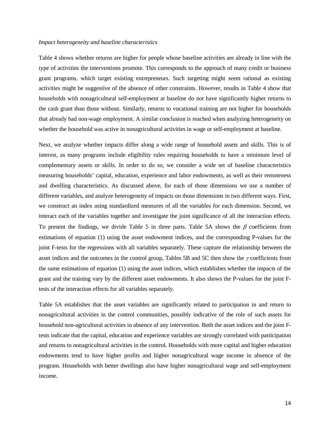#### *Impact heterogeneity and baseline characteristics*

Table 4 shows whether returns are higher for people whose baseline activities are already in line with the type of activities the interventions promote. This corresponds to the approach of many credit or business grant programs, which target existing entrepreneurs. Such targeting might seem rational as existing activities might be suggestive of the absence of other constraints. However, results in Table 4 show that households with nonagricultural self-employment at baseline do not have significantly higher returns to the cash grant than those without. Similarly, returns to vocational training are not higher for households that already had non-wage employment. A similar conclusion is reached when analyzing heterogeneity on whether the household was active in nonagricultural activities in wage or self-employment at baseline.

Next, we analyze whether impacts differ along a wide range of household assets and skills. This is of interest, as many programs include eligibility rules requiring households to have a minimum level of complementary assets or skills. In order to do so, we consider a wide set of baseline characteristics measuring households' capital, education, experience and labor endowments, as well as their remoteness and dwelling characteristics. As discussed above, for each of those dimensions we use a number of different variables, and analyze heterogeneity of impacts on those dimensions in two different ways. First, we construct an index using standardized measures of all the variables for each dimension. Second, we interact each of the variables together and investigate the joint significance of all the interaction effects. To present the findings, we divide Table 5 in three parts. Table 5A shows the  $\beta$  coefficients from estimations of equation (1) using the asset endowment indices, and the corresponding P-values for the joint F-tests for the regressions with all variables separately. These capture the relationship between the asset indices and the outcomes in the control group, Tables 5B and 5C then show the  $\gamma$  coefficients from the same estimations of equation (1) using the asset indices, which establishes whether the impacts of the grant and the training vary by the different asset endowments. It also shows the P-values for the joint Ftests of the interaction effects for all variables separately.

Table 5A establishes that the asset variables are significantly related to participation in and return to nonagricultural activities in the control communities, possibly indicative of the role of such assets for household non-agricultural activities in absence of any intervention. Both the asset indices and the joint Ftests indicate that the capital, education and experience variables are strongly correlated with participation and returns to nonagricultural activities in the control. Households with more capital and higher education endowments tend to have higher profits and higher nonagricultural wage income in absence of the program. Households with better dwellings also have higher nonagricultural wage and self-employment income.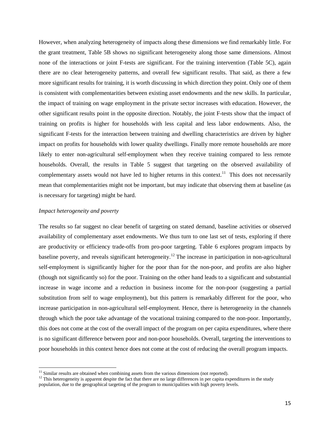However, when analyzing heterogeneity of impacts along these dimensions we find remarkably little. For the grant treatment, Table 5B shows no significant heterogeneity along those same dimensions. Almost none of the interactions or joint F-tests are significant. For the training intervention (Table 5C), again there are no clear heterogeneity patterns, and overall few significant results. That said, as there a few more significant results for training, it is worth discussing in which direction they point. Only one of them is consistent with complementarities between existing asset endowments and the new skills. In particular, the impact of training on wage employment in the private sector increases with education. However, the other significant results point in the opposite direction. Notably, the joint F-tests show that the impact of training on profits is higher for households with less capital and less labor endowments. Also, the significant F-tests for the interaction between training and dwelling characteristics are driven by higher impact on profits for households with lower quality dwellings. Finally more remote households are more likely to enter non-agricultural self-employment when they receive training compared to less remote households. Overall, the results in Table 5 suggest that targeting on the observed availability of complementary assets would not have led to higher returns in this context.<sup>11</sup> This does not necessarily mean that complementarities might not be important, but may indicate that observing them at baseline (as is necessary for targeting) might be hard.

#### *Impact heterogeneity and poverty*

The results so far suggest no clear benefit of targeting on stated demand, baseline activities or observed availability of complementary asset endowments. We thus turn to one last set of tests, exploring if there are productivity or efficiency trade-offs from pro-poor targeting. Table 6 explores program impacts by baseline poverty, and reveals significant heterogeneity.<sup>[12](#page-16-1)</sup> The increase in participation in non-agricultural self-employment is significantly higher for the poor than for the non-poor, and profits are also higher (though not significantly so) for the poor. Training on the other hand leads to a significant and substantial increase in wage income and a reduction in business income for the non-poor (suggesting a partial substitution from self to wage employment), but this pattern is remarkably different for the poor, who increase participation in non-agricultural self-employment. Hence, there is heterogeneity in the channels through which the poor take advantage of the vocational training compared to the non-poor. Importantly, this does not come at the cost of the overall impact of the program on per capita expenditures, where there is no significant difference between poor and non-poor households. Overall, targeting the interventions to poor households in this context hence does not come at the cost of reducing the overall program impacts.

 $11$  Similar results are obtained when combining assets from the various dimensions (not reported).

<span id="page-16-1"></span><span id="page-16-0"></span> $12$  This heterogeneity is apparent despite the fact that there are no large differences in per capita expenditures in the study population, due to the geographical targeting of the program to municipalities with high poverty levels.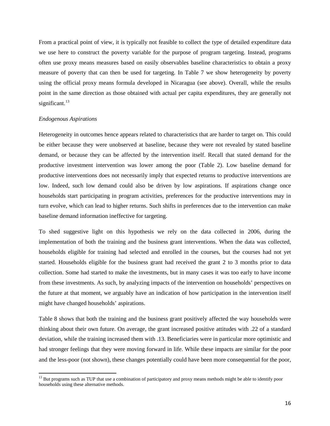From a practical point of view, it is typically not feasible to collect the type of detailed expenditure data we use here to construct the poverty variable for the purpose of program targeting. Instead, programs often use proxy means measures based on easily observables baseline characteristics to obtain a proxy measure of poverty that can then be used for targeting. In Table 7 we show heterogeneity by poverty using the official proxy means formula developed in Nicaragua (see above). Overall, while the results point in the same direction as those obtained with actual per capita expenditures, they are generally not significant.<sup>13</sup>

#### *Endogenous Aspirations*

 $\overline{\phantom{a}}$ 

Heterogeneity in outcomes hence appears related to characteristics that are harder to target on. This could be either because they were unobserved at baseline, because they were not revealed by stated baseline demand, or because they can be affected by the intervention itself. Recall that stated demand for the productive investment intervention was lower among the poor (Table 2). Low baseline demand for productive interventions does not necessarily imply that expected returns to productive interventions are low. Indeed, such low demand could also be driven by low aspirations. If aspirations change once households start participating in program activities, preferences for the productive interventions may in turn evolve, which can lead to higher returns. Such shifts in preferences due to the intervention can make baseline demand information ineffective for targeting.

To shed suggestive light on this hypothesis we rely on the data collected in 2006, during the implementation of both the training and the business grant interventions. When the data was collected, households eligible for training had selected and enrolled in the courses, but the courses had not yet started. Households eligible for the business grant had received the grant 2 to 3 months prior to data collection. Some had started to make the investments, but in many cases it was too early to have income from these investments. As such, by analyzing impacts of the intervention on households' perspectives on the future at that moment, we arguably have an indication of how participation in the intervention itself might have changed households' aspirations.

Table 8 shows that both the training and the business grant positively affected the way households were thinking about their own future. On average, the grant increased positive attitudes with .22 of a standard deviation, while the training increased them with .13. Beneficiaries were in particular more optimistic and had stronger feelings that they were moving forward in life. While these impacts are similar for the poor and the less-poor (not shown), these changes potentially could have been more consequential for the poor,

<span id="page-17-0"></span><sup>&</sup>lt;sup>13</sup> But programs such as TUP that use a combination of participatory and proxy means methods might be able to identify poor households using these alternative methods.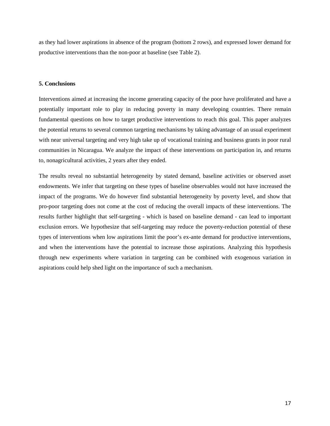as they had lower aspirations in absence of the program (bottom 2 rows), and expressed lower demand for productive interventions than the non-poor at baseline (see Table 2).

#### **5. Conclusions**

Interventions aimed at increasing the income generating capacity of the poor have proliferated and have a potentially important role to play in reducing poverty in many developing countries. There remain fundamental questions on how to target productive interventions to reach this goal. This paper analyzes the potential returns to several common targeting mechanisms by taking advantage of an usual experiment with near universal targeting and very high take up of vocational training and business grants in poor rural communities in Nicaragua. We analyze the impact of these interventions on participation in, and returns to, nonagricultural activities, 2 years after they ended.

The results reveal no substantial heterogeneity by stated demand, baseline activities or observed asset endowments. We infer that targeting on these types of baseline observables would not have increased the impact of the programs. We do however find substantial heterogeneity by poverty level, and show that pro-poor targeting does not come at the cost of reducing the overall impacts of these interventions. The results further highlight that self-targeting - which is based on baseline demand - can lead to important exclusion errors. We hypothesize that self-targeting may reduce the poverty-reduction potential of these types of interventions when low aspirations limit the poor's ex-ante demand for productive interventions, and when the interventions have the potential to increase those aspirations. Analyzing this hypothesis through new experiments where variation in targeting can be combined with exogenous variation in aspirations could help shed light on the importance of such a mechanism.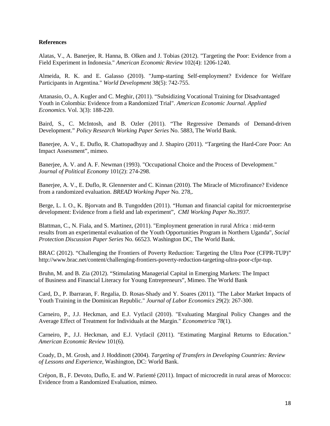#### **References**

Alatas, V., A. Banerjee, R. Hanna, B. Olken and J. Tobias (2012). "Targeting the Poor: Evidence from a Field Experiment in Indonesia." *American Economic Review* 102(4): 1206-1240.

Almeida, R. K. and E. Galasso (2010). "Jump-starting Self-employment? Evidence for Welfare Participants in Argentina." *World Development* 38(5): 742-755.

Attanasio, O., A. Kugler and C. Meghir, (2011). "Subsidizing Vocational Training for Disadvantaged Youth in Colombia: Evidence from a Randomized Trial". *American Economic Journal. Applied Economics*. Vol. 3(3): 188-220.

Baird, S., C. McIntosh, and B. Ozler (2011). "The Regressive Demands of Demand-driven Development." *Policy Research Working Paper Series* No. 5883, The World Bank.

Banerjee, A. V., E. Duflo, R. Chattopadhyay and J. Shapiro (2011). "Targeting the Hard-Core Poor: An Impact Assessment", mimeo.

Banerjee, A. V. and A. F. Newman (1993). "Occupational Choice and the Process of Development." *Journal of Political Economy* 101(2): 274-298.

Banerjee, A. V., E. Duflo, R. Glennerster and C. Kinnan (2010). The Miracle of Microfinance? Evidence from a randomized evaluation. *BREAD Working Paper* No. 278,.

Berge, L. I. O., K. Bjorvatn and B. Tungodden (2011). "Human and financial capital for microenterprise development: Evidence from a field and lab experiment", *CMI Working Paper No.3937.*

Blattman, C., N. Fiala, and S. Martinez, (2011). "Employment generation in rural Africa : mid-term results from an experimental evaluation of the Youth Opportunities Program in Northern Uganda", *Social Protection Discussion Paper Series* No. 66523. Washington DC, The World Bank.

BRAC (2012). "Challenging the Frontiers of Poverty Reduction: Targeting the Ultra Poor (CFPR-TUP)" http://www.brac.net/content/challenging-frontiers-poverty-reduction-targeting-ultra-poor-cfpr-tup.

Bruhn, M. and B. Zia (2012). "Stimulating Managerial Capital in Emerging Markets: The Impact of Business and Financial Literacy for Young Entrepreneurs", Mimeo. The World Bank

Card, D., P. Ibarraran, F. Regalia, D. Rosas-Shady and Y. Soares (2011). "The Labor Market Impacts of Youth Training in the Dominican Republic." *Journal of Labor Economics* 29(2): 267-300.

Carneiro, P., J.J. Heckman, and E.J. Vytlacil (2010). "Evaluating Marginal Policy Changes and the Average Effect of Treatment for Individuals at the Margin." *Econometrica* 78(1).

Carneiro, P., J.J. Heckman, and E.J. Vytlacil (2011). "Estimating Marginal Returns to Education." *American Economic Review* 101(6).

Coady, D., M. Grosh, and J. Hoddinott (2004). *Targeting of Transfers in Developing Countries: Review of Lessons and Experience*, Washington, DC: World Bank.

Crépon, B., F. Devoto, Duflo, E. and W. Parienté (2011). Impact of microcredit in rural areas of Morocco: Evidence from a Randomized Evaluation, mimeo.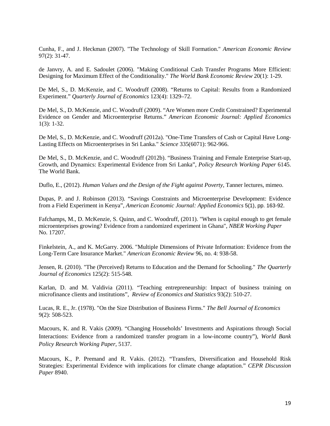Cunha, F., and J. Heckman (2007). "The Technology of Skill Formation." *American Economic Review* 97(2): 31-47.

de Janvry, A. and E. Sadoulet (2006). "Making Conditional Cash Transfer Programs More Efficient: Designing for Maximum Effect of the Conditionality." *The World Bank Economic Review* 20(1): 1-29.

De Mel, S., D. McKenzie, and C. Woodruff (2008). "Returns to Capital: Results from a Randomized Experiment." *Quarterly Journal of Economics* 123(4): 1329–72.

De Mel, S., D. McKenzie, and C. Woodruff (2009). "Are Women more Credit Constrained? Experimental Evidence on Gender and Microenterprise Returns." *American Economic Journal: Applied Economics* 1(3): 1-32.

De Mel, S., D. McKenzie, and C. Woodruff (2012a). "One-Time Transfers of Cash or Capital Have Long-Lasting Effects on Microenterprises in Sri Lanka." *Science* 335(6071): 962-966.

De Mel, S., D. McKenzie, and C. Woodruff (2012b). "Business Training and Female Enterprise Start-up, Growth, and Dynamics: Experimental Evidence from Sri Lanka", *Policy Research Working Paper* 6145. The World Bank.

Duflo, E., (2012). *Human Values and the Design of the Fight against Poverty*, Tanner lectures, mimeo.

Dupas, P. and J. Robinson (2013). "Savings Constraints and Microenterprise Development: Evidence from a Field Experiment in Kenya", *American Economic Journal: Applied Economics* 5(1), pp. 163-92.

Fafchamps, M., D. McKenzie, S. Quinn, and C. Woodruff, (2011). "When is capital enough to get female microenterprises growing? Evidence from a randomized experiment in Ghana", *NBER Working Paper* No. 17207.

Finkelstein, A., and K. McGarry. 2006. "Multiple Dimensions of Private Information: Evidence from the Long-Term Care Insurance Market." *American Economic Review* 96, no. 4: 938-58.

Jensen, R. (2010). "The (Perceived) Returns to Education and the Demand for Schooling." *The Quarterly Journal of Economics* 125(2): 515-548.

Karlan, D. and M. Valdivia (2011). "Teaching entrepreneurship: Impact of business training on microfinance clients and institutions", *Review of Economics and Statistics* 93(2): 510-27.

Lucas, R. E., Jr. (1978). "On the Size Distribution of Business Firms." *The Bell Journal of Economics* 9(2): 508-523.

Macours, K. and R. Vakis (2009). "Changing Households' Investments and Aspirations through Social Interactions: Evidence from a randomized transfer program in a low-income country"), *World Bank Policy Research Working Paper*, 5137.

Macours, K., P. Premand and R. Vakis. (2012). "Transfers, Diversification and Household Risk Strategies: Experimental Evidence with implications for climate change adaptation." *CEPR Discussion Paper* 8940.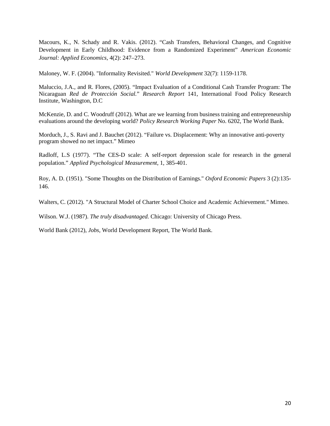Macours, K., N. Schady and R. Vakis. (2012). "Cash Transfers, Behavioral Changes, and Cognitive Development in Early Childhood: Evidence from a Randomized Experiment" *American Economic Journal: Applied Economics,* 4(2): 247–273.

Maloney, W. F. (2004). "Informality Revisited." *World Development* 32(7): 1159-1178.

Maluccio, J.A., and R. Flores, (2005). "Impact Evaluation of a Conditional Cash Transfer Program: The Nicaraguan *Red de Protección Social.*" *Research Report* 141, International Food Policy Research Institute, Washington, D.C

McKenzie, D. and C. Woodruff (2012). What are we learning from business training and entrepreneurship evaluations around the developing world? *Policy Research Working Paper* No. 6202, The World Bank.

Morduch, J., S. Ravi and J. Bauchet (2012). "Failure vs. Displacement: Why an innovative anti-poverty program showed no net impact." Mimeo

Radloff, L.S (1977). "The CES-D scale: A self-report depression scale for research in the general population." *Applied Psychological Measurement*, 1, 385-401.

Roy, A. D. (1951). "Some Thoughts on the Distribution of Earnings." *Oxford Economic Papers* 3 (2):135- 146.

Walters, C. (2012). "A Structural Model of Charter School Choice and Academic Achievement." Mimeo.

Wilson. W.J. (1987). *The truly disadvantaged.* Chicago: University of Chicago Press.

World Bank (2012), *Jobs*, World Development Report, The World Bank.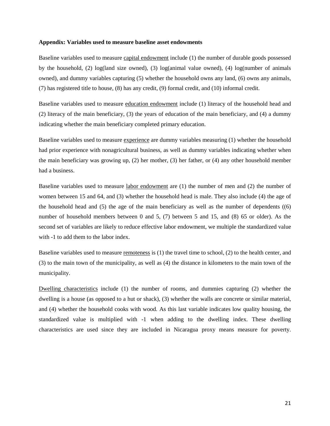#### **Appendix: Variables used to measure baseline asset endowments**

Baseline variables used to measure capital endowment include (1) the number of durable goods possessed by the household, (2) log(land size owned), (3) log(animal value owned), (4) log(number of animals owned), and dummy variables capturing (5) whether the household owns any land, (6) owns any animals, (7) has registered title to house, (8) has any credit, (9) formal credit, and (10) informal credit.

Baseline variables used to measure education endowment include (1) literacy of the household head and (2) literacy of the main beneficiary, (3) the years of education of the main beneficiary, and (4) a dummy indicating whether the main beneficiary completed primary education.

Baseline variables used to measure experience are dummy variables measuring (1) whether the household had prior experience with nonagricultural business, as well as dummy variables indicating whether when the main beneficiary was growing up, (2) her mother, (3) her father, or (4) any other household member had a business.

Baseline variables used to measure labor endowment are (1) the number of men and (2) the number of women between 15 and 64, and (3) whether the household head is male. They also include (4) the age of the household head and  $(5)$  the age of the main beneficiary as well as the number of dependents  $((6)$ number of household members between 0 and 5, (7) between 5 and 15, and (8) 65 or older). As the second set of variables are likely to reduce effective labor endowment, we multiple the standardized value with -1 to add them to the labor index.

Baseline variables used to measure remoteness is (1) the travel time to school, (2) to the health center, and (3) to the main town of the municipality, as well as (4) the distance in kilometers to the main town of the municipality.

Dwelling characteristics include (1) the number of rooms, and dummies capturing (2) whether the dwelling is a house (as opposed to a hut or shack), (3) whether the walls are concrete or similar material, and (4) whether the household cooks with wood. As this last variable indicates low quality housing, the standardized value is multiplied with -1 when adding to the dwelling index. These dwelling characteristics are used since they are included in Nicaragua proxy means measure for poverty.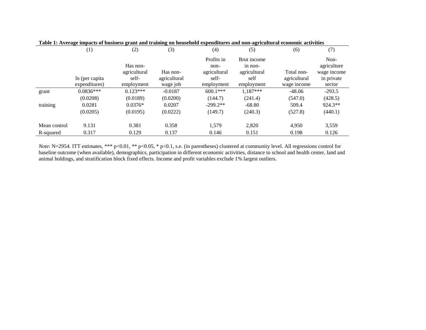|              | (1)             | (2)          | (3)          | (4)                | (5)                    | (6)          | (7)                 |
|--------------|-----------------|--------------|--------------|--------------------|------------------------|--------------|---------------------|
|              |                 | Has non-     |              | Profits in<br>non- | Brut income<br>in non- |              | Non-<br>agriculture |
|              |                 | agricultural | Has non-     | agricultural       | agricultural           | Total non-   | wage income         |
|              | In (per capita) | self-        | agricultural | self-              | self                   | agricultural | in private          |
|              | expenditures)   | employment   | wage job     | employment         | employment             | wage income  | sector              |
| grant        | $0.0836***$     | $0.123***$   | $-0.0187$    | $600.1***$         | $1,187***$             | $-48.06$     | $-293.5$            |
|              | (0.0208)        | (0.0189)     | (0.0200)     | (144.7)            | (241.4)                | (547.0)      | (428.5)             |
| training     | 0.0281          | $0.0376*$    | 0.0207       | $-299.2**$         | $-68.80$               | 509.4        | 924.3**             |
|              | (0.0205)        | (0.0195)     | (0.0222)     | (149.7)            | (240.3)                | (527.8)      | (440.1)             |
| Mean control | 9.131           | 0.381        | 0.358        | 1,579              | 2,820                  | 4.950        | 3,559               |
| R-squared    | 0.317           | 0.129        | 0.137        | 0.146              | 0.151                  | 0.198        | 0.126               |

*Note*: N=2954. ITT estimates, \*\*\* p<0.01, \*\* p<0.05, \* p<0.1, s.e. (in parentheses) clustered at community level. All regressions control for baseline outcome (when available), demographics, participation in different economic activities, distance to school and health center, land and animal holdings, and stratification block fixed effects. Income and profit variables exclude 1% largest outliers.

|  |  |  | Table 1: Average impacts of business grant and training on household expenditures and non-agricultural economic activities |
|--|--|--|----------------------------------------------------------------------------------------------------------------------------|
|  |  |  |                                                                                                                            |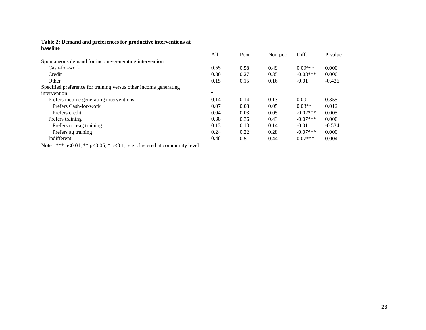**Table 2: Demand and preferences for productive interventions at baseline**

| мизсипе                                                          |        |      |          |            |          |
|------------------------------------------------------------------|--------|------|----------|------------|----------|
|                                                                  | All    | Poor | Non-poor | Diff.      | P-value  |
| Spontaneous demand for income-generating intervention            |        |      |          |            |          |
| Cash-for-work                                                    | 0.55   | 0.58 | 0.49     | $0.09***$  | 0.000    |
| Credit                                                           | 0.30   | 0.27 | 0.35     | $-0.08***$ | 0.000    |
| Other                                                            | 0.15   | 0.15 | 0.16     | $-0.01$    | $-0.426$ |
| Specified preference for training versus other income generating |        |      |          |            |          |
| intervention                                                     | $\sim$ |      |          |            |          |
| Prefers income generating interventions                          | 0.14   | 0.14 | 0.13     | 0.00       | 0.355    |
| Prefers Cash-for-work                                            | 0.07   | 0.08 | 0.05     | $0.03**$   | 0.012    |
| Prefers credit                                                   | 0.04   | 0.03 | 0.05     | $-0.02***$ | 0.005    |
| Prefers training                                                 | 0.38   | 0.36 | 0.43     | $-0.07***$ | 0.000    |
| Prefers non-ag training                                          | 0.13   | 0.13 | 0.14     | $-0.01$    | $-0.534$ |
| Prefers ag training                                              | 0.24   | 0.22 | 0.28     | $-0.07***$ | 0.000    |
| Indifferent                                                      | 0.48   | 0.51 | 0.44     | $0.07***$  | 0.004    |

Note: \*\*\* p<0.01, \*\* p<0.05, \* p<0.1, s.e. clustered at community level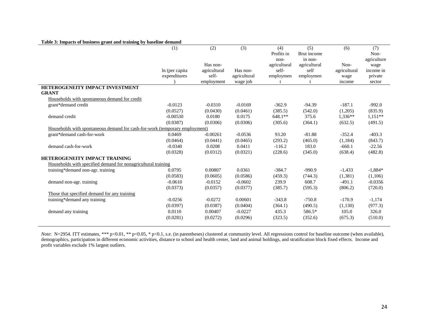| Table 3: Impacts of business grant and training by baseline demand |  |
|--------------------------------------------------------------------|--|
|--------------------------------------------------------------------|--|

| rabic or impacts of business grant and training by basemic demand           | (1)             | (2)          | (3)          | (4)<br>Profits in | (5)<br>Brut income | (6)          | (7)<br>Non- |
|-----------------------------------------------------------------------------|-----------------|--------------|--------------|-------------------|--------------------|--------------|-------------|
|                                                                             |                 |              |              | non-              | in non-            |              | agriculture |
|                                                                             |                 | Has non-     |              | agricultural      | agricultural       | Non-         | wage        |
|                                                                             | In (per capita) | agricultural | Has non-     | self-             | self               | agricultural | income in   |
|                                                                             | expenditures    | self-        | agricultural | employmen         | employmen          | wage         | private     |
|                                                                             |                 | employment   | wage job     |                   |                    | income       | sector      |
| HETEROGENEITY IMPACT INVESTMENT                                             |                 |              |              |                   |                    |              |             |
| <b>GRANT</b>                                                                |                 |              |              |                   |                    |              |             |
| Households with spontaneous demand for credit                               |                 |              |              |                   |                    |              |             |
| grant*demand credit                                                         | $-0.0123$       | $-0.0310$    | $-0.0169$    | $-362.9$          | $-94.39$           | $-187.1$     | $-992.0$    |
|                                                                             | (0.0527)        | (0.0430)     | (0.0461)     | (385.5)           | (542.0)            | (1,205)      | (835.9)     |
| demand credit                                                               | $-0.00530$      | 0.0180       | 0.0175       | 648.1**           | 375.6              | $1,336**$    | $1,151**$   |
|                                                                             | (0.0387)        | (0.0306)     | (0.0306)     | (305.6)           | (364.1)            | (632.5)      | (491.5)     |
| Households with spontaneous demand for cash-for-work (temporary employment) |                 |              |              |                   |                    |              |             |
| grant*demand cash-for-work                                                  | 0.0469          | $-0.00261$   | $-0.0536$    | 93.20             | $-81.88$           | $-352.4$     | $-403.3$    |
|                                                                             | (0.0464)        | (0.0441)     | (0.0465)     | (293.2)           | (465.0)            | (1,184)      | (843.7)     |
| demand cash-for-work                                                        | $-0.0340$       | 0.0208       | 0.0411       | $-116.2$          | 183.0              | $-660.1$     | $-22.56$    |
|                                                                             | (0.0328)        | (0.0312)     | (0.0321)     | (228.6)           | (345.0)            | (638.4)      | (482.8)     |
| <b>HETEROGENEITY IMPACT TRAINING</b>                                        |                 |              |              |                   |                    |              |             |
| Households with specified demand for nonagricultural training               |                 |              |              |                   |                    |              |             |
| training*demand non-agr. training                                           | 0.0795          | 0.00807      | 0.0361       | $-384.7$          | $-990.9$           | $-1,433$     | $-1,884*$   |
|                                                                             | (0.0583)        | (0.0605)     | (0.0586)     | (459.3)           | (744.3)            | (1,381)      | (1,106)     |
| demand non-agr. training                                                    | $-0.0610$       | $-0.0152$    | $-0.0602$    | 239.9             | 608.7              | $-491.1$     | $-0.0356$   |
|                                                                             | (0.0373)        | (0.0357)     | (0.0377)     | (385.7)           | (595.3)            | (806.2)      | (720.0)     |
| Those that specified demand for any training                                |                 |              |              |                   |                    |              |             |
| training*demand any training                                                | $-0.0256$       | $-0.0272$    | 0.00601      | $-343.8$          | $-750.8$           | $-170.9$     | $-1,174$    |
|                                                                             | (0.0397)        | (0.0387)     | (0.0404)     | (364.1)           | (490.5)            | (1,130)      | (977.3)     |
| demand any training                                                         | 0.0110          | 0.00407      | $-0.0227$    | 435.3             | 586.5*             | 105.0        | 326.0       |
|                                                                             | (0.0281)        | (0.0272)     | (0.0296)     | (323.5)           | (352.6)            | (675.3)      | (510.0)     |
|                                                                             |                 |              |              |                   |                    |              |             |

*Note*: N=2954. ITT estimates, \*\*\* p<0.01, \*\* p<0.05, \* p<0.1, s.e. (in parentheses) clustered at community level. All regressions control for baseline outcome (when available), demographics, participation in different economic activities, distance to school and health center, land and animal holdings, and stratification block fixed effects. Income and profit variables exclude 1% largest outliers.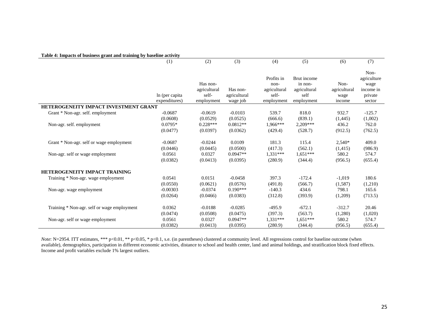|                                              | Table 4: Impacts of business grant and training by baseline activity |              |              |              |              |              |             |  |  |  |  |
|----------------------------------------------|----------------------------------------------------------------------|--------------|--------------|--------------|--------------|--------------|-------------|--|--|--|--|
|                                              | (1)                                                                  | (2)          | (3)          | (4)          | (5)          | (6)          | (7)         |  |  |  |  |
|                                              |                                                                      |              |              |              |              |              |             |  |  |  |  |
|                                              |                                                                      |              |              |              |              |              | Non-        |  |  |  |  |
|                                              |                                                                      |              |              | Profits in   | Brut income  |              | agriculture |  |  |  |  |
|                                              |                                                                      | Has non-     |              | non-         | in non-      | Non-         | wage        |  |  |  |  |
|                                              |                                                                      | agricultural | Has non-     | agricultural | agricultural | agricultural | income in   |  |  |  |  |
|                                              | In (per capita)                                                      | self-        | agricultural | self-        | self         | wage         | private     |  |  |  |  |
|                                              | expenditures)                                                        | employment   | wage job     | employment   | employment   | income       | sector      |  |  |  |  |
| <b>HETEROGENEITY IMPACT INVESTMENT GRANT</b> |                                                                      |              |              |              |              |              |             |  |  |  |  |
| Grant * Non-agr. self. employment            | $-0.0687$                                                            | $-0.0619$    | $-0.0103$    | 539.7        | 818.0        | 932.7        | $-125.7$    |  |  |  |  |
|                                              | (0.0608)                                                             | (0.0529)     | (0.0525)     | (666.6)      | (839.1)      | (1, 445)     | (1,002)     |  |  |  |  |
| Non-agr. self. employment                    | $0.0795*$                                                            | $0.228***$   | $0.0812**$   | 1.966***     | 2,209***     | 436.2        | 762.0       |  |  |  |  |
|                                              | (0.0477)                                                             | (0.0397)     | (0.0362)     | (429.4)      | (528.7)      | (912.5)      | (762.5)     |  |  |  |  |
| Grant * Non-agr. self or wage employment     | $-0.0687$                                                            | $-0.0244$    | 0.0109       | 181.3        | 115.4        | $2,540*$     | 409.0       |  |  |  |  |
|                                              |                                                                      |              |              |              |              |              |             |  |  |  |  |
|                                              | (0.0446)                                                             | (0.0445)     | (0.0500)     | (417.3)      | (562.1)      | (1, 415)     | (986.9)     |  |  |  |  |
| Non-agr. self or wage employment             | 0.0561                                                               | 0.0327       | $0.0947**$   | 1,331***     | $1,651***$   | 580.2        | 574.7       |  |  |  |  |
|                                              | (0.0382)                                                             | (0.0413)     | (0.0395)     | (280.9)      | (344.4)      | (956.5)      | (655.4)     |  |  |  |  |
| <b>HETEROGENEITY IMPACT TRAINING</b>         |                                                                      |              |              |              |              |              |             |  |  |  |  |
| Training * Non-agr. wage employment          | 0.0541                                                               | 0.0151       | $-0.0458$    | 397.3        | $-172.4$     | $-1,019$     | 180.6       |  |  |  |  |
|                                              | (0.0550)                                                             | (0.0621)     | (0.0576)     | (491.8)      | (566.7)      | (1,587)      | (1,210)     |  |  |  |  |
| Non-agr. wage employment                     | $-0.00303$                                                           | $-0.0374$    | $0.190***$   | $-140.3$     | 434.6        | 798.1        | 165.6       |  |  |  |  |
|                                              | (0.0264)                                                             | (0.0466)     | (0.0383)     | (312.8)      | (393.9)      | (1,209)      | (713.5)     |  |  |  |  |
| Training * Non-agr. self or wage employment  | 0.0362                                                               | $-0.0188$    | $-0.0285$    | $-495.9$     | $-672.1$     | $-312.7$     | 20.46       |  |  |  |  |
|                                              | (0.0474)                                                             | (0.0508)     | (0.0475)     | (397.3)      | (563.7)      | (1,280)      | (1,020)     |  |  |  |  |
|                                              | 0.0561                                                               | 0.0327       | $0.0947**$   | 1,331***     | $1,651***$   | 580.2        | 574.7       |  |  |  |  |
| Non-agr. self or wage employment             |                                                                      |              |              |              |              |              |             |  |  |  |  |
|                                              | (0.0382)                                                             | (0.0413)     | (0.0395)     | (280.9)      | (344.4)      | (956.5)      | (655.4)     |  |  |  |  |

*Note*: N=2954. ITT estimates, \*\*\* p<0.01, \*\* p<0.05, \* p<0.1, s.e. (in parentheses) clustered at community level. All regressions control for baseline outcome (when available), demographics, participation in different economic activities, distance to school and health center, land and animal holdings, and stratification block fixed effects. Income and profit variables exclude 1% largest outliers.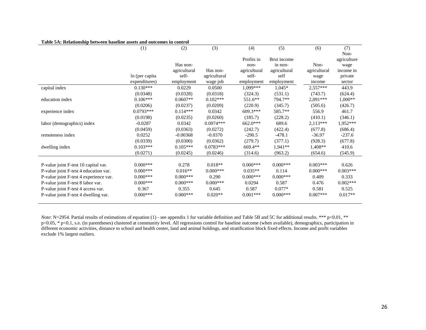|                                                                               | (1)                  | (2)          | (3)          | (4)          | (5)          | (6)            | (7)                 |
|-------------------------------------------------------------------------------|----------------------|--------------|--------------|--------------|--------------|----------------|---------------------|
|                                                                               |                      |              |              | Profits in   | Brut income  |                | Non-<br>agriculture |
|                                                                               |                      | Has non-     |              | non-         | in non-      | Non-           | wage                |
|                                                                               |                      | agricultural | Has non-     | agricultural | agricultural | agricultural   | income in           |
|                                                                               | In (per capita)      | self-        | agricultural | self-        | self         | wage           | private             |
|                                                                               | expenditures)        | employment   | wage job     | employment   | employment   | income         | sector              |
| capital index                                                                 | $0.130***$           | 0.0229       | 0.0500       | 1,099***     | $1,045*$     | $2,557***$     | 443.9               |
|                                                                               | (0.0348)             | (0.0328)     | (0.0318)     | (324.3)      | (531.1)      | (743.7)        | (624.4)             |
| education index                                                               | $0.106***$           | $0.0607**$   | $0.102***$   | 551.6**      | 794.7**      | $2,091***$     | $1,000**$           |
|                                                                               | (0.0206)             | (0.0237)     | (0.0209)     | (220.9)      | (345.7)      | (505.6)        | (426.7)             |
| experience index                                                              | $0.0793***$          | $0.114***$   | 0.0342       | $609.3***$   | 585.7**      | 556.9          | 461.7               |
|                                                                               | (0.0198)             | (0.0235)     | (0.0260)     | (185.7)      | (228.2)      | (410.1)        | (346.1)             |
| labor (demographics) index                                                    | $-0.0287$            | 0.0342       | $0.0974***$  | 662.0***     | 689.6        | $2,113***$     | $1,952***$          |
|                                                                               | (0.0459)             | (0.0363)     | (0.0272)     | (242.7)      | (422.4)      | (677.8)        | (686.4)             |
| remoteness index                                                              | 0.0252               | $-0.00368$   | $-0.0370$    | $-290.5$     | $-478.1$     | $-36.97$       | $-237.6$            |
|                                                                               | (0.0339)             | (0.0300)     | (0.0362)     | (279.7)      | (377.1)      | (928.3)        | (677.8)             |
| dwelling index                                                                | $0.103***$           | $0.105***$   | $0.0783***$  | 669.4**      | $1,941**$    | $1,408**$      | 410.6               |
|                                                                               | (0.0271)             | (0.0245)     | (0.0246)     | (314.6)      | (963.2)      | (654.6)        | (545.9)             |
|                                                                               | $0.000***$           | 0.278        | $0.018**$    | $0.000***$   | $0.000***$   | $0.003***$     | 0.626               |
| P-value joint F-test 10 capital var.<br>P-value joint F-test 4 education var. | $0.000$ ***          | $0.016**$    | $0.000***$   | $0.035**$    | 0.114        | $0.000***$     | $0.003***$          |
|                                                                               | $0.000$ ***          | $0.000***$   | 0.290        | $0.000***$   | $0.000***$   | 0.409          | 0.333               |
| P-value joint F-test 4 experience var.                                        | $0.000$ ***          | $0.000***$   | $0.000***$   | 0.0294       | 0.587        |                | $0.002***$          |
| P-value joint F-test 8 labor var.                                             |                      | 0.355        | 0.645        | 0.587        | $0.077*$     | 0.476<br>0.581 |                     |
| P-value joint F-test 4 access var.                                            | 0.367<br>$0.000$ *** |              | $0.020**$    | $0.001***$   | $0.000***$   | $0.007***$     | 0.525               |
| P-value joint F-test 4 dwelling var.                                          |                      | $0.000***$   |              |              |              |                | $0.017**$           |

#### **Table 5A: Relationship between baseline assets and outcomes in control**

*Note*: N=2954. Partial results of estimations of equation (1) - see appendix 1 for variable definition and Table 5B and 5C for additional results. \*\*\* p<0.01, \*\* p<0.05, \* p<0.1, s.e. (in parentheses) clustered at community level. All regressions control for baseline outcome (when available), demographics, participation in different economic activities, distance to school and health center, land and animal holdings, and stratification block fixed effects. Income and profit variables exclude 1% largest outliers.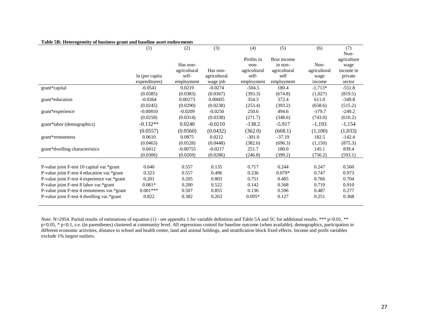|                                              | (1)             | (2)          | (3)          | (4)          | (5)          | (6)          | (7)         |
|----------------------------------------------|-----------------|--------------|--------------|--------------|--------------|--------------|-------------|
|                                              |                 |              |              |              |              |              | Non-        |
|                                              |                 |              |              | Profits in   | Brut income  |              | agriculture |
|                                              |                 | Has non-     |              | non-         | in non-      | Non-         | wage        |
|                                              |                 | agricultural | Has non-     | agricultural | agricultural | agricultural | income in   |
|                                              | In (per capita) | self-        | agricultural | self-        | self         | wage         | private     |
|                                              | expenditures)   | employment   | wage job     | employment   | employment   | income       | sector      |
| grant*capital                                | $-0.0541$       | 0.0219       | $-0.0274$    | $-504.5$     | 180.4        | $-1,713*$    | $-551.8$    |
|                                              | (0.0385)        | (0.0383)     | (0.0367)     | (393.3)      | (674.8)      | (1,027)      | (819.5)     |
| grant*education                              | $-0.0364$       | 0.00273      | 0.00605      | 354.3        | 372.4        | 611.0        | $-349.8$    |
|                                              | (0.0245)        | (0.0290)     | (0.0238)     | (253.4)      | (393.2)      | (658.6)      | (515.2)     |
| grant*experience                             | $-0.00810$      | $-0.0209$    | $-0.0250$    | 250.6        | 494.6        | $-179.7$     | $-249.2$    |
|                                              | (0.0258)        | (0.0314)     | (0.0338)     | (271.7)      | (348.6)      | (743.0)      | (610.2)     |
| grant*labor (demographics)                   | $-0.132**$      | 0.0240       | $-0.0210$    | $-138.2$     | $-5.917$     | $-1,193$     | $-1,154$    |
|                                              | (0.0557)        | (0.0560)     | (0.0432)     | (362.0)      | (668.1)      | (1,100)      | (1,033)     |
| grant*remoteness                             | 0.0610          | 0.0875       | 0.0212       | $-301.0$     | $-37.19$     | 182.5        | $-142.4$    |
|                                              | (0.0463)        | (0.0528)     | (0.0448)     | (382.6)      | (696.3)      | (1,150)      | (875.3)     |
| grant*dwelling characteristics               | 0.0412          | $-0.00755$   | $-0.0217$    | 251.7        | 180.0        | 145.1        | 839.4       |
|                                              | (0.0306)        | (0.0269)     | (0.0286)     | (246.8)      | (399.2)      | (756.2)      | (593.1)     |
|                                              |                 |              |              |              |              |              |             |
| P-value joint F-test 10 capital var.*grant   | 0.640           | 0.557        | 0.135        | 0.717        | 0.244        | 0.247        | 0.560       |
| P-value joint F-test 4 education var.*grant  | 0.323           | 0.557        | 0.496        | 0.236        | $0.079*$     | 0.747        | 0.973       |
| P-value joint F-test 4 experience var.*grant | 0.201           | 0.205        | 0.803        | 0.751        | 0.485        | 0.766        | 0.704       |
| P-value joint F-test 8 labor var.*grant      | $0.081*$        | 0.200        | 0.522        | 0.142        | 0.568        | 0.719        | 0.910       |
| P-value joint F-test 4 remoteness var.*grant | $0.001***$      | 0.507        | 0.855        | 0.136        | 0.596        | 0.487        | 0.277       |
| P-value joint F-test 4 dwelling var.*grant   | 0.822           | 0.382        | 0.263        | $0.095*$     | 0.127        | 0.251        | 0.368       |
|                                              |                 |              |              |              |              |              |             |

#### **Table 5B: Heterogeneity of business grant and baseline asset endowments**

*Note*: N=2954. Partial results of estimations of equation (1) - see appendix 1 for variable definition and Table 5A and 5C for additional results. \*\*\* p<0.01, \*\*  $p<0.05$ , \*  $p<0.1$ , s.e. (in parentheses) clustered at community level. All regressions control for baseline outcome (when available), demographics, participation in different economic activities, distance to school and health center, land and animal holdings, and stratification block fixed effects. Income and profit variables exclude 1% largest outliers.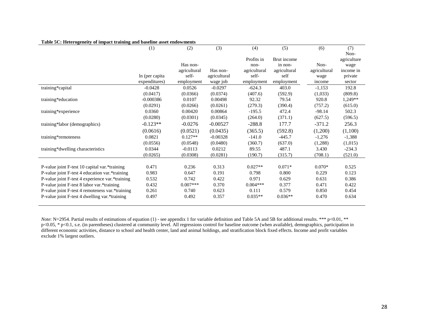|                                                 | (1)            | (2)          | (3)          | (4)          | (5)          | (6)          | (7)         |
|-------------------------------------------------|----------------|--------------|--------------|--------------|--------------|--------------|-------------|
|                                                 |                |              |              |              |              |              | Non-        |
|                                                 |                |              |              | Profits in   | Brut income  |              | agriculture |
|                                                 |                | Has non-     |              | non-         | in non-      | Non-         | wage        |
|                                                 |                | agricultural | Has non-     | agricultural | agricultural | agricultural | income in   |
|                                                 | In (per capita | self-        | agricultural | self-        | self         | wage         | private     |
|                                                 | expenditures)  | employment   | wage job     | employment   | employment   | income       | sector      |
| training*capital                                | $-0.0428$      | 0.0526       | $-0.0297$    | $-624.3$     | 403.0        | $-1,153$     | 192.8       |
|                                                 | (0.0417)       | (0.0366)     | (0.0374)     | (407.6)      | (592.9)      | (1,033)      | (809.8)     |
| training*education                              | $-0.000386$    | 0.0107       | 0.00498      | 92.32        | 79.54        | 920.8        | 1,249**     |
|                                                 | (0.0291)       | (0.0266)     | (0.0261)     | (279.3)      | (390.4)      | (757.2)      | (615.0)     |
| training*experience                             | 0.0360         | 0.00420      | 0.00864      | $-195.5$     | 472.4        | $-98.14$     | 502.3       |
|                                                 | (0.0280)       | (0.0301)     | (0.0345)     | (264.0)      | (371.1)      | (627.5)      | (596.5)     |
| training*labor (demographics)                   | $-0.123**$     | $-0.0276$    | $-0.00527$   | $-288.8$     | 177.7        | $-371.2$     | 256.3       |
|                                                 | (0.0616)       | (0.0521)     | (0.0435)     | (365.5)      | (592.8)      | (1,200)      | (1,100)     |
| training*remoteness                             | 0.0821         | $0.127**$    | $-0.00328$   | $-141.0$     | $-445.7$     | $-1,276$     | $-1,388$    |
|                                                 | (0.0556)       | (0.0548)     | (0.0480)     | (360.7)      | (637.0)      | (1,288)      | (1,015)     |
| training*dwelling characteristics               | 0.0344         | $-0.0113$    | 0.0212       | 89.55        | 487.1        | 3.430        | $-234.3$    |
|                                                 | (0.0265)       | (0.0308)     | (0.0281)     | (190.7)      | (315.7)      | (708.1)      | (521.0)     |
|                                                 |                |              |              |              |              |              |             |
| P-value joint F-test 10 capital var.*training   | 0.471          | 0.236        | 0.313        | $0.027**$    | $0.071*$     | $0.070*$     | 0.525       |
| P-value joint F-test 4 education var.*training  | 0.983          | 0.647        | 0.191        | 0.798        | 0.800        | 0.229        | 0.123       |
| P-value joint F-test 4 experience var.*training | 0.532          | 0.742        | 0.422        | 0.971        | 0.629        | 0.631        | 0.386       |
| P-value joint F-test 8 labor var.*training      | 0.432          | $0.007***$   | 0.370        | $0.004***$   | 0.377        | 0.471        | 0.422       |
| P-value joint F-test 4 remoteness var.*training | 0.261          | 0.740        | 0.623        | 0.111        | 0.579        | 0.850        | 0.454       |
| P-value joint F-test 4 dwelling var.*training   | 0.497          | 0.492        | 0.357        | $0.035**$    | $0.036**$    | 0.470        | 0.634       |
|                                                 |                |              |              |              |              |              |             |

#### **Table 5C: Heterogeneity of impact training and baseline asset endowments**

*Note*: N=2954. Partial results of estimations of equation (1) - see appendix 1 for variable definition and Table 5A and 5B for additional results. \*\*\* p<0.01, \*\*  $p<0.05$ , \*  $p<0.1$ , s.e. (in parentheses) clustered at community level. All regressions control for baseline outcome (when available), demographics, participation in different economic activities, distance to school and health center, land and animal holdings, and stratification block fixed effects. Income and profit variables exclude 1% largest outliers.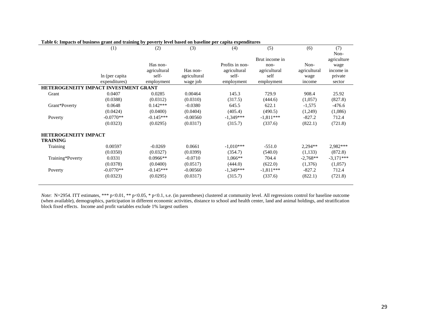|                                       | (1)             | (2)          | (3)          | (4)             | (5)            | (6)          | (7)         |  |  |  |  |
|---------------------------------------|-----------------|--------------|--------------|-----------------|----------------|--------------|-------------|--|--|--|--|
|                                       |                 |              |              |                 |                |              | Non-        |  |  |  |  |
|                                       |                 |              |              |                 | Brut income in |              | agriculture |  |  |  |  |
|                                       |                 | Has non-     |              | Profits in non- | non-           | Non-         | wage        |  |  |  |  |
|                                       |                 | agricultural | Has non-     | agricultural    | agricultural   | agricultural | income in   |  |  |  |  |
|                                       | In (per capita) | self-        | agricultural | self-           | self           | wage         | private     |  |  |  |  |
|                                       | expenditures)   | employment   | wage job     | employment      | employment     | income       | sector      |  |  |  |  |
| HETEROGENEITY IMPACT INVESTMENT GRANT |                 |              |              |                 |                |              |             |  |  |  |  |
| Grant                                 | 0.0407          | 0.0285       | 0.00464      | 145.3           | 729.9          | 908.4        | 25.92       |  |  |  |  |
|                                       | (0.0388)        | (0.0312)     | (0.0310)     | (317.5)         | (444.6)        | (1,057)      | (827.8)     |  |  |  |  |
| Grant*Poverty                         | 0.0648          | $0.142***$   | $-0.0380$    | 645.5           | 622.1          | $-1,575$     | $-476.6$    |  |  |  |  |
|                                       | (0.0424)        | (0.0400)     | (0.0404)     | (405.4)         | (490.5)        | (1,249)      | (1,086)     |  |  |  |  |
| Poverty                               | $-0.0770**$     | $-0.145***$  | $-0.00560$   | $-1,349***$     | $-1,811***$    | $-827.2$     | 712.4       |  |  |  |  |
|                                       | (0.0323)        | (0.0295)     | (0.0317)     | (315.7)         | (337.6)        | (822.1)      | (721.8)     |  |  |  |  |
| <b>HETEROGENEITY IMPACT</b>           |                 |              |              |                 |                |              |             |  |  |  |  |
| <b>TRAINING</b>                       |                 |              |              |                 |                |              |             |  |  |  |  |
| Training                              | 0.00597         | $-0.0269$    | 0.0661       | $-1,010***$     | $-551.0$       | $2,294**$    | 2,982***    |  |  |  |  |
|                                       | (0.0350)        | (0.0327)     | (0.0399)     | (354.7)         | (540.0)        | (1,133)      | (872.8)     |  |  |  |  |
| Training*Poverty                      | 0.0331          | $0.0966**$   | $-0.0710$    | $1,066**$       | 704.4          | $-2,768**$   | $-3,171***$ |  |  |  |  |
|                                       | (0.0378)        | (0.0400)     | (0.0517)     | (444.0)         | (622.0)        | (1,376)      | (1,057)     |  |  |  |  |
| Poverty                               | $-0.0770**$     | $-0.145***$  | $-0.00560$   | $-1,349***$     | $-1,811***$    | $-827.2$     | 712.4       |  |  |  |  |
|                                       | (0.0323)        | (0.0295)     | (0.0317)     | (315.7)         | (337.6)        | (822.1)      | (721.8)     |  |  |  |  |
|                                       |                 |              |              |                 |                |              |             |  |  |  |  |

#### **Table 6: Impacts of business grant and training by poverty level based on baseline per capita expenditures**

*Note*: N=2954. ITT estimates, \*\*\* p<0.01, \*\* p<0.05, \* p<0.1, s.e. (in parentheses) clustered at community level. All regressions control for baseline outcome (when available), demographics, participation in different economic activities, distance to school and health center, land and animal holdings, and stratification block fixed effects. Income and profit variables exclude 1% largest outliers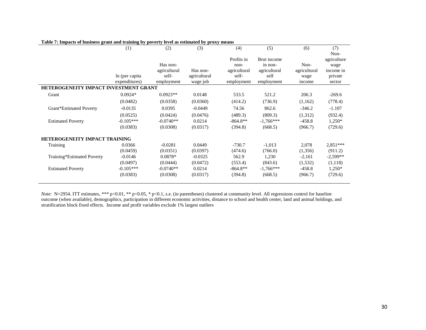|                                       | (1)             | (2)          | (3)          | (4)          | (5)          | (6)          | (7)         |  |  |  |
|---------------------------------------|-----------------|--------------|--------------|--------------|--------------|--------------|-------------|--|--|--|
|                                       |                 |              |              |              |              |              | Non-        |  |  |  |
|                                       |                 |              |              | Profits in   | Brut income  |              | agriculture |  |  |  |
|                                       |                 | Has non-     |              | $non-$       | in non-      | Non-         | wage        |  |  |  |
|                                       |                 | agricultural | Has non-     | agricultural | agricultural | agricultural | income in   |  |  |  |
|                                       | In (per capita) | self-        | agricultural | self-        | self         | wage         | private     |  |  |  |
|                                       | expenditures)   | employment   | wage job     | employment   | employment   | income       | sector      |  |  |  |
| HETEROGENEITY IMPACT INVESTMENT GRANT |                 |              |              |              |              |              |             |  |  |  |
| Grant                                 | $0.0924*$       | $0.0923**$   | 0.0148       | 533.5        | 521.2        | 206.3        | $-269.6$    |  |  |  |
|                                       | (0.0482)        | (0.0358)     | (0.0360)     | (414.2)      | (736.9)      | (1,162)      | (778.4)     |  |  |  |
| Grant*Estimated Poverty               | $-0.0135$       | 0.0395       | $-0.0449$    | 74.56        | 862.6        | $-346.2$     | $-1.107$    |  |  |  |
|                                       | (0.0525)        | (0.0424)     | (0.0476)     | (489.3)      | (809.3)      | (1,312)      | (932.4)     |  |  |  |
| <b>Estimated Poverty</b>              | $-0.105***$     | $-0.0740**$  | 0.0214       | $-864.8**$   | $-1.766***$  | $-458.8$     | $1,250*$    |  |  |  |
|                                       | (0.0383)        | (0.0308)     | (0.0317)     | (394.8)      | (668.5)      | (966.7)      | (729.6)     |  |  |  |
| <b>HETEROGENEITY IMPACT TRAINING</b>  |                 |              |              |              |              |              |             |  |  |  |
| Training                              | 0.0366          | $-0.0281$    | 0.0449       | $-730.7$     | $-1,013$     | 2,078        | $2,851***$  |  |  |  |
|                                       | (0.0459)        | (0.0351)     | (0.0397)     | (474.6)      | (766.0)      | (1,356)      | (911.2)     |  |  |  |
| Training*Estimated Poverty            | $-0.0146$       | $0.0878*$    | $-0.0325$    | 562.9        | 1,230        | $-2,161$     | $-2,599**$  |  |  |  |
|                                       | (0.0497)        | (0.0444)     | (0.0472)     | (553.4)      | (843.6)      | (1, 532)     | (1,118)     |  |  |  |
| <b>Estimated Poverty</b>              | $-0.105***$     | $-0.0740**$  | 0.0214       | $-864.8**$   | $-1,766***$  | $-458.8$     | $1,250*$    |  |  |  |
|                                       | (0.0383)        | (0.0308)     | (0.0317)     | (394.8)      | (668.5)      | (966.7)      | (729.6)     |  |  |  |
|                                       |                 |              |              |              |              |              |             |  |  |  |

#### **Table 7: Impacts of business grant and training by poverty level as estimated by proxy means**

*Note*: N=2954. ITT estimates, \*\*\* p<0.01, \*\* p<0.05, \* p<0.1, s.e. (in parentheses) clustered at community level. All regressions control for baseline outcome (when available), demographics, participation in different economic activities, distance to school and health center, land and animal holdings, and stratification block fixed effects. Income and profit variables exclude 1% largest outliers